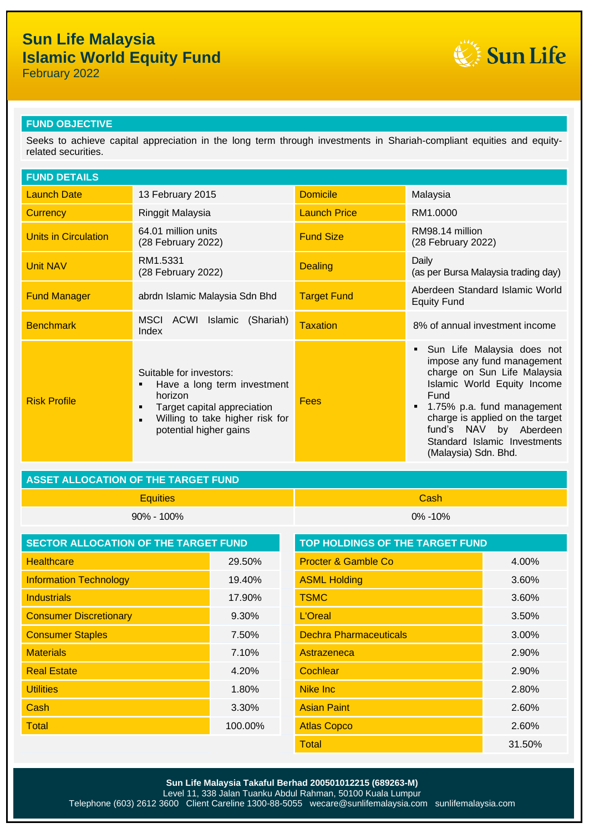## **Sun Life Malaysia Islamic World Equity Fund**

February 2022



## **FUND OBJECTIVE**

Seeks to achieve capital appreciation in the long term through investments in Shariah-compliant equities and equityrelated securities.

| <b>FUND DETAILS</b>         |                                                                                                                                                                                           |                     |                                                                                                                                                                                                                                                                                   |
|-----------------------------|-------------------------------------------------------------------------------------------------------------------------------------------------------------------------------------------|---------------------|-----------------------------------------------------------------------------------------------------------------------------------------------------------------------------------------------------------------------------------------------------------------------------------|
| <b>Launch Date</b>          | 13 February 2015                                                                                                                                                                          | <b>Domicile</b>     | Malaysia                                                                                                                                                                                                                                                                          |
| <b>Currency</b>             | Ringgit Malaysia                                                                                                                                                                          | <b>Launch Price</b> | RM1.0000                                                                                                                                                                                                                                                                          |
| <b>Units in Circulation</b> | 64.01 million units<br>(28 February 2022)                                                                                                                                                 | <b>Fund Size</b>    | RM98.14 million<br>(28 February 2022)                                                                                                                                                                                                                                             |
| <b>Unit NAV</b>             | RM1.5331<br>(28 February 2022)                                                                                                                                                            | <b>Dealing</b>      | Daily<br>(as per Bursa Malaysia trading day)                                                                                                                                                                                                                                      |
| <b>Fund Manager</b>         | abrdn Islamic Malaysia Sdn Bhd                                                                                                                                                            | <b>Target Fund</b>  | Aberdeen Standard Islamic World<br><b>Equity Fund</b>                                                                                                                                                                                                                             |
| <b>Benchmark</b>            | MSCI<br>ACWI<br>Islamic<br>(Shariah)<br>Index                                                                                                                                             | Taxation            | 8% of annual investment income                                                                                                                                                                                                                                                    |
| <b>Risk Profile</b>         | Suitable for investors:<br>Have a long term investment<br>٠<br>horizon<br>Target capital appreciation<br>٠<br>Willing to take higher risk for<br>$\blacksquare$<br>potential higher gains | Fees                | Sun Life Malaysia does not<br>impose any fund management<br>charge on Sun Life Malaysia<br>Islamic World Equity Income<br>Fund<br>1.75% p.a. fund management<br>charge is applied on the target<br>fund's NAV by Aberdeen<br>Standard Islamic Investments<br>(Malaysia) Sdn. Bhd. |

## **ASSET ALLOCATION OF THE TARGET FUND**

Equities Cash

90% - 100% 0% -10%

| SECTOR ALLOCATION OF THE TARGET FUND |         | TOP HOLDINGS OF THE TARGET FUND |        |
|--------------------------------------|---------|---------------------------------|--------|
| <b>Healthcare</b>                    | 29.50%  | <b>Procter &amp; Gamble Co</b>  | 4.00%  |
| <b>Information Technology</b>        | 19.40%  | <b>ASML Holding</b>             | 3.60%  |
| <b>Industrials</b>                   | 17.90%  | <b>TSMC</b>                     | 3.60%  |
| <b>Consumer Discretionary</b>        | 9.30%   | <b>L'Oreal</b>                  | 3.50%  |
| <b>Consumer Staples</b>              | 7.50%   | <b>Dechra Pharmaceuticals</b>   | 3.00%  |
| <b>Materials</b>                     | 7.10%   | Astrazeneca                     | 2.90%  |
| <b>Real Estate</b>                   | 4.20%   | Cochlear                        | 2.90%  |
| <b>Utilities</b>                     | 1.80%   | Nike Inc                        | 2.80%  |
| Cash                                 | 3.30%   | <b>Asian Paint</b>              | 2.60%  |
| <b>Total</b>                         | 100.00% | <b>Atlas Copco</b>              | 2.60%  |
|                                      |         | <b>Total</b>                    | 31.50% |

Level 11, 338 Jalan Tuanku Abdul Rahman, 50100 Kuala Lumpur Telephone (603) 2612 3600 Client Careline 1300-88-5055 wecare@sunlifemalaysia.com sunlifemalaysia.com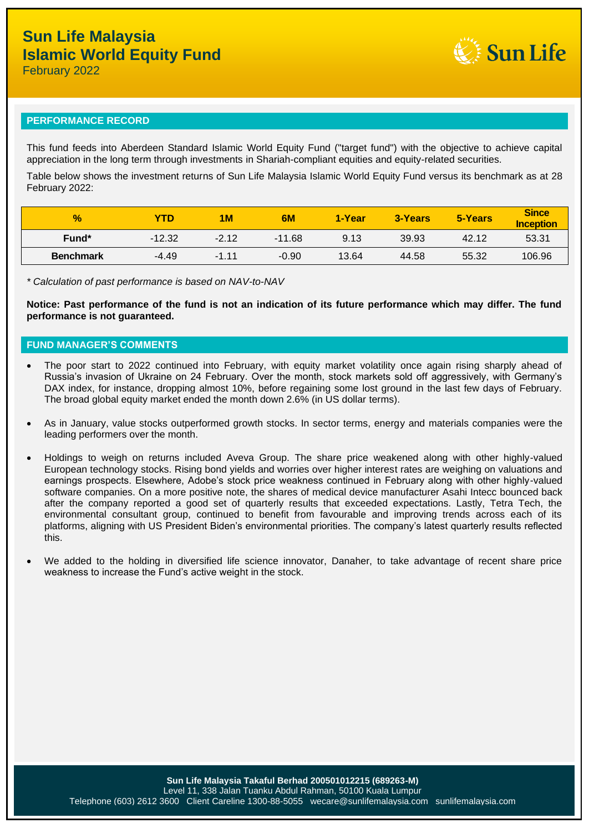

February 2022

### **PERFORMANCE RECORD**

This fund feeds into Aberdeen Standard Islamic World Equity Fund ("target fund") with the objective to achieve capital appreciation in the long term through investments in Shariah-compliant equities and equity-related securities.

Table below shows the investment returns of Sun Life Malaysia Islamic World Equity Fund versus its benchmark as at 28 February 2022:

| $\frac{1}{2}$     | YTD      | 1M      | 6M       | 1-Year | 3-Years | 5-Years | <b>Since</b><br><b>Inception</b> |
|-------------------|----------|---------|----------|--------|---------|---------|----------------------------------|
| Fund <sup>*</sup> | $-12.32$ | $-2.12$ | $-11.68$ | 9.13   | 39.93   | 42.12   | 53.31                            |
| <b>Benchmark</b>  | -4.49    | $-1.11$ | $-0.90$  | 13.64  | 44.58   | 55.32   | 106.96                           |

*\* Calculation of past performance is based on NAV-to-NAV*

**Notice: Past performance of the fund is not an indication of its future performance which may differ. The fund performance is not guaranteed.**

### **FUND MANAGER'S COMMENTS**

- The poor start to 2022 continued into February, with equity market volatility once again rising sharply ahead of Russia's invasion of Ukraine on 24 February. Over the month, stock markets sold off aggressively, with Germany's DAX index, for instance, dropping almost 10%, before regaining some lost ground in the last few days of February. The broad global equity market ended the month down 2.6% (in US dollar terms).
- As in January, value stocks outperformed growth stocks. In sector terms, energy and materials companies were the leading performers over the month.
- Holdings to weigh on returns included Aveva Group. The share price weakened along with other highly-valued European technology stocks. Rising bond yields and worries over higher interest rates are weighing on valuations and earnings prospects. Elsewhere, Adobe's stock price weakness continued in February along with other highly-valued software companies. On a more positive note, the shares of medical device manufacturer Asahi Intecc bounced back after the company reported a good set of quarterly results that exceeded expectations. Lastly, Tetra Tech, the environmental consultant group, continued to benefit from favourable and improving trends across each of its platforms, aligning with US President Biden's environmental priorities. The company's latest quarterly results reflected this.
- We added to the holding in diversified life science innovator, Danaher, to take advantage of recent share price weakness to increase the Fund's active weight in the stock.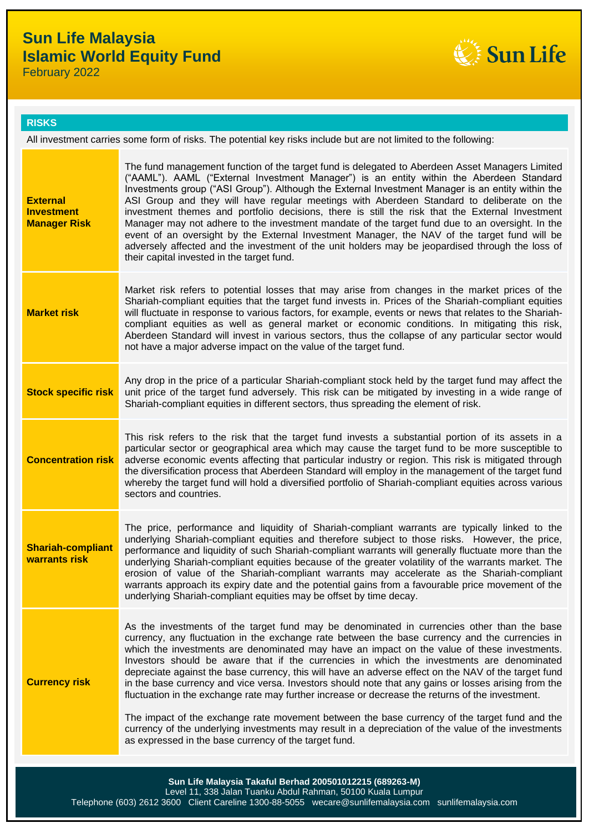# **Sun Life Malaysia Islamic World Equity Fund**

February 2022



#### **RISKS**

All investment carries some form of risks. The potential key risks include but are not limited to the following:

| <b>External</b><br><b>Investment</b><br><b>Manager Risk</b> | The fund management function of the target fund is delegated to Aberdeen Asset Managers Limited<br>("AAML"). AAML ("External Investment Manager") is an entity within the Aberdeen Standard<br>Investments group ("ASI Group"). Although the External Investment Manager is an entity within the<br>ASI Group and they will have regular meetings with Aberdeen Standard to deliberate on the<br>investment themes and portfolio decisions, there is still the risk that the External Investment<br>Manager may not adhere to the investment mandate of the target fund due to an oversight. In the<br>event of an oversight by the External Investment Manager, the NAV of the target fund will be<br>adversely affected and the investment of the unit holders may be jeopardised through the loss of<br>their capital invested in the target fund.                                                                                                                         |  |
|-------------------------------------------------------------|-------------------------------------------------------------------------------------------------------------------------------------------------------------------------------------------------------------------------------------------------------------------------------------------------------------------------------------------------------------------------------------------------------------------------------------------------------------------------------------------------------------------------------------------------------------------------------------------------------------------------------------------------------------------------------------------------------------------------------------------------------------------------------------------------------------------------------------------------------------------------------------------------------------------------------------------------------------------------------|--|
| <b>Market risk</b>                                          | Market risk refers to potential losses that may arise from changes in the market prices of the<br>Shariah-compliant equities that the target fund invests in. Prices of the Shariah-compliant equities<br>will fluctuate in response to various factors, for example, events or news that relates to the Shariah-<br>compliant equities as well as general market or economic conditions. In mitigating this risk,<br>Aberdeen Standard will invest in various sectors, thus the collapse of any particular sector would<br>not have a major adverse impact on the value of the target fund.                                                                                                                                                                                                                                                                                                                                                                                  |  |
| <b>Stock specific risk</b>                                  | Any drop in the price of a particular Shariah-compliant stock held by the target fund may affect the<br>unit price of the target fund adversely. This risk can be mitigated by investing in a wide range of<br>Shariah-compliant equities in different sectors, thus spreading the element of risk.                                                                                                                                                                                                                                                                                                                                                                                                                                                                                                                                                                                                                                                                           |  |
| <b>Concentration risk</b>                                   | This risk refers to the risk that the target fund invests a substantial portion of its assets in a<br>particular sector or geographical area which may cause the target fund to be more susceptible to<br>adverse economic events affecting that particular industry or region. This risk is mitigated through<br>the diversification process that Aberdeen Standard will employ in the management of the target fund<br>whereby the target fund will hold a diversified portfolio of Shariah-compliant equities across various<br>sectors and countries.                                                                                                                                                                                                                                                                                                                                                                                                                     |  |
| <b>Shariah-compliant</b><br>warrants risk                   | The price, performance and liquidity of Shariah-compliant warrants are typically linked to the<br>underlying Shariah-compliant equities and therefore subject to those risks. However, the price,<br>performance and liquidity of such Shariah-compliant warrants will generally fluctuate more than the<br>underlying Shariah-compliant equities because of the greater volatility of the warrants market. The<br>erosion of value of the Shariah-compliant warrants may accelerate as the Shariah-compliant<br>warrants approach its expiry date and the potential gains from a favourable price movement of the<br>underlying Shariah-compliant equities may be offset by time decay.                                                                                                                                                                                                                                                                                      |  |
| <b>Currency risk</b>                                        | As the investments of the target fund may be denominated in currencies other than the base<br>currency, any fluctuation in the exchange rate between the base currency and the currencies in<br>which the investments are denominated may have an impact on the value of these investments.<br>Investors should be aware that if the currencies in which the investments are denominated<br>depreciate against the base currency, this will have an adverse effect on the NAV of the target fund<br>in the base currency and vice versa. Investors should note that any gains or losses arising from the<br>fluctuation in the exchange rate may further increase or decrease the returns of the investment.<br>The impact of the exchange rate movement between the base currency of the target fund and the<br>currency of the underlying investments may result in a depreciation of the value of the investments<br>as expressed in the base currency of the target fund. |  |
| Sun Life Malaysia Takaful Berhad 200501012215 (689263-M)    |                                                                                                                                                                                                                                                                                                                                                                                                                                                                                                                                                                                                                                                                                                                                                                                                                                                                                                                                                                               |  |